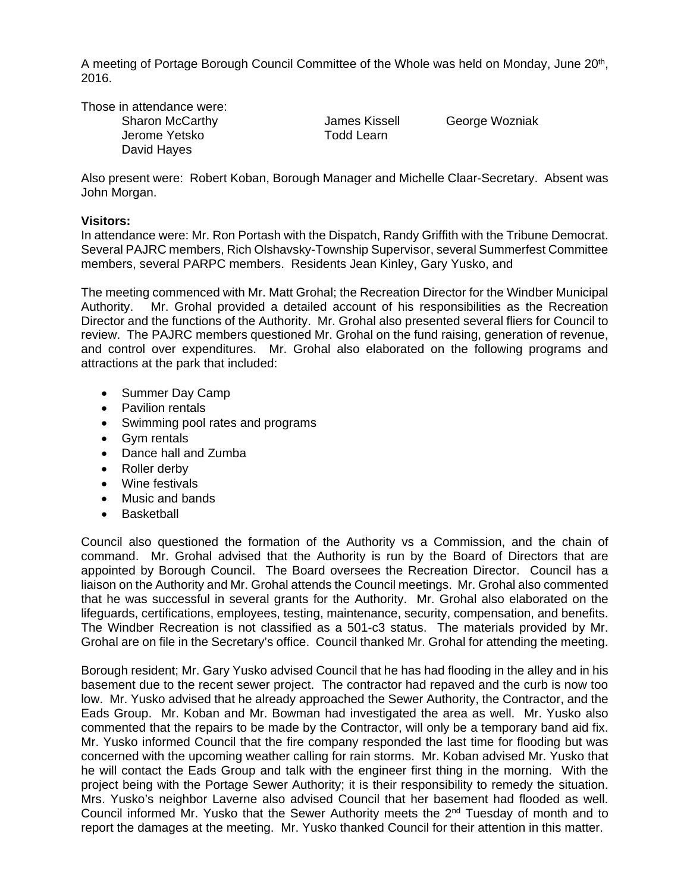A meeting of Portage Borough Council Committee of the Whole was held on Monday, June 20<sup>th</sup>, 2016.

Those in attendance were:

Sharon McCarthy **Sharon McCarthy** James Kissell George Wozniak Jerome Yetsko **Todd Learn** David Hayes

Also present were: Robert Koban, Borough Manager and Michelle Claar-Secretary. Absent was John Morgan.

## **Visitors:**

In attendance were: Mr. Ron Portash with the Dispatch, Randy Griffith with the Tribune Democrat. Several PAJRC members, Rich Olshavsky-Township Supervisor, several Summerfest Committee members, several PARPC members. Residents Jean Kinley, Gary Yusko, and

The meeting commenced with Mr. Matt Grohal; the Recreation Director for the Windber Municipal Authority. Mr. Grohal provided a detailed account of his responsibilities as the Recreation Director and the functions of the Authority. Mr. Grohal also presented several fliers for Council to review. The PAJRC members questioned Mr. Grohal on the fund raising, generation of revenue, and control over expenditures. Mr. Grohal also elaborated on the following programs and attractions at the park that included:

- Summer Day Camp
- Pavilion rentals
- Swimming pool rates and programs
- Gym rentals
- Dance hall and Zumba
- Roller derby
- Wine festivals
- Music and bands
- Basketball

Council also questioned the formation of the Authority vs a Commission, and the chain of command. Mr. Grohal advised that the Authority is run by the Board of Directors that are appointed by Borough Council. The Board oversees the Recreation Director. Council has a liaison on the Authority and Mr. Grohal attends the Council meetings. Mr. Grohal also commented that he was successful in several grants for the Authority. Mr. Grohal also elaborated on the lifeguards, certifications, employees, testing, maintenance, security, compensation, and benefits. The Windber Recreation is not classified as a 501-c3 status. The materials provided by Mr. Grohal are on file in the Secretary's office. Council thanked Mr. Grohal for attending the meeting.

Borough resident; Mr. Gary Yusko advised Council that he has had flooding in the alley and in his basement due to the recent sewer project. The contractor had repaved and the curb is now too low. Mr. Yusko advised that he already approached the Sewer Authority, the Contractor, and the Eads Group. Mr. Koban and Mr. Bowman had investigated the area as well. Mr. Yusko also commented that the repairs to be made by the Contractor, will only be a temporary band aid fix. Mr. Yusko informed Council that the fire company responded the last time for flooding but was concerned with the upcoming weather calling for rain storms. Mr. Koban advised Mr. Yusko that he will contact the Eads Group and talk with the engineer first thing in the morning. With the project being with the Portage Sewer Authority; it is their responsibility to remedy the situation. Mrs. Yusko's neighbor Laverne also advised Council that her basement had flooded as well. Council informed Mr. Yusko that the Sewer Authority meets the 2nd Tuesday of month and to report the damages at the meeting. Mr. Yusko thanked Council for their attention in this matter.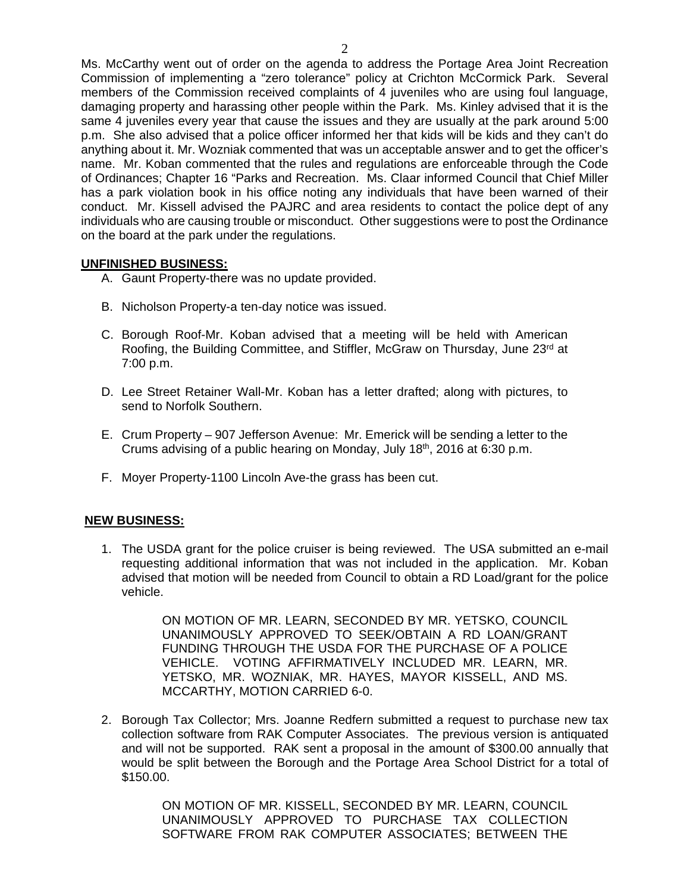Ms. McCarthy went out of order on the agenda to address the Portage Area Joint Recreation Commission of implementing a "zero tolerance" policy at Crichton McCormick Park. Several members of the Commission received complaints of 4 juveniles who are using foul language, damaging property and harassing other people within the Park. Ms. Kinley advised that it is the same 4 juveniles every year that cause the issues and they are usually at the park around 5:00 p.m. She also advised that a police officer informed her that kids will be kids and they can't do anything about it. Mr. Wozniak commented that was un acceptable answer and to get the officer's name. Mr. Koban commented that the rules and regulations are enforceable through the Code of Ordinances; Chapter 16 "Parks and Recreation. Ms. Claar informed Council that Chief Miller has a park violation book in his office noting any individuals that have been warned of their conduct. Mr. Kissell advised the PAJRC and area residents to contact the police dept of any individuals who are causing trouble or misconduct. Other suggestions were to post the Ordinance on the board at the park under the regulations.

## **UNFINISHED BUSINESS:**

- A. Gaunt Property-there was no update provided.
- B. Nicholson Property-a ten-day notice was issued.
- C. Borough Roof-Mr. Koban advised that a meeting will be held with American Roofing, the Building Committee, and Stiffler, McGraw on Thursday, June 23<sup>rd</sup> at 7:00 p.m.
- D. Lee Street Retainer Wall-Mr. Koban has a letter drafted; along with pictures, to send to Norfolk Southern.
- E. Crum Property 907 Jefferson Avenue: Mr. Emerick will be sending a letter to the Crums advising of a public hearing on Monday, July 18<sup>th</sup>, 2016 at 6:30 p.m.
- F. Moyer Property-1100 Lincoln Ave-the grass has been cut.

# **NEW BUSINESS:**

1. The USDA grant for the police cruiser is being reviewed. The USA submitted an e-mail requesting additional information that was not included in the application. Mr. Koban advised that motion will be needed from Council to obtain a RD Load/grant for the police vehicle.

> ON MOTION OF MR. LEARN, SECONDED BY MR. YETSKO, COUNCIL UNANIMOUSLY APPROVED TO SEEK/OBTAIN A RD LOAN/GRANT FUNDING THROUGH THE USDA FOR THE PURCHASE OF A POLICE VEHICLE. VOTING AFFIRMATIVELY INCLUDED MR. LEARN, MR. YETSKO, MR. WOZNIAK, MR. HAYES, MAYOR KISSELL, AND MS. MCCARTHY, MOTION CARRIED 6-0.

2. Borough Tax Collector; Mrs. Joanne Redfern submitted a request to purchase new tax collection software from RAK Computer Associates. The previous version is antiquated and will not be supported. RAK sent a proposal in the amount of \$300.00 annually that would be split between the Borough and the Portage Area School District for a total of \$150.00.

> ON MOTION OF MR. KISSELL, SECONDED BY MR. LEARN, COUNCIL UNANIMOUSLY APPROVED TO PURCHASE TAX COLLECTION SOFTWARE FROM RAK COMPUTER ASSOCIATES; BETWEEN THE